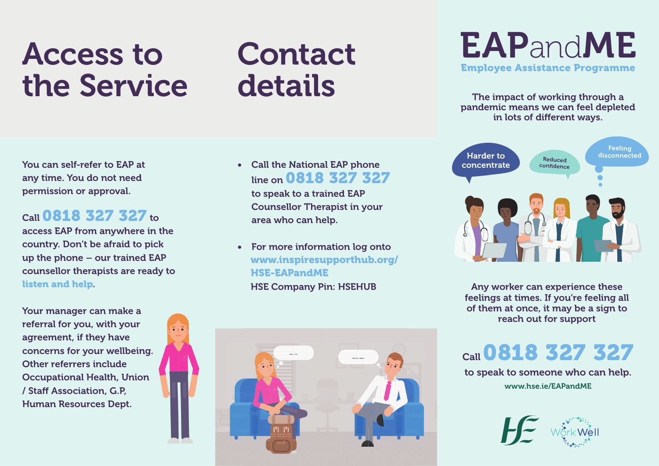## Access to the Service

# Contact details

You can self-refer to EAP at any time. You do not need permission or approval.

#### Call 0818 327 327 to

access EAP from anywhere in the country. Don't be afraid to pick up the phone – our trained EAP counsellor therapists are ready to listen and help.

Your manager can make a referral for you, with your agreement, if they have concerns for your wellbeing. Other referrers include Occupational Health, Union / Staff Association, G.P. Human Resources Dept.



• Call the National EAP phone line on **0818 327 327** 

to speak to a trained EAP Counsellor Therapist in your area who can help.

For more information log onto www.inspiresupporthub.org/ HSE-EAPandME HSE Company Pin: HSEHUB



### EAPandME Employee Assistance Programme

The impact of working through a pandemic means we can feel depleted in lots of different ways.



Any worker can experience these feelings at times. If you're feeling all of them at once, it may be a sign to reach out for support

Call 0818 327 327

www.hse.ie/EAPandME to speak to someone who can help.